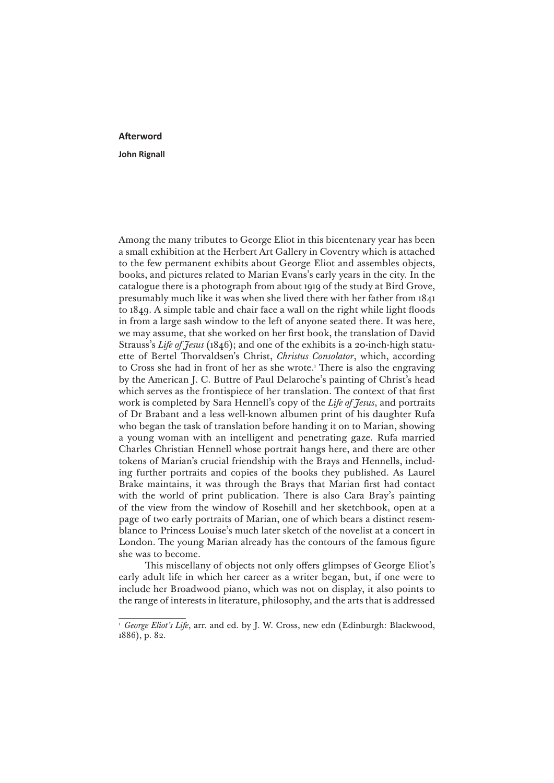## **Afterword**

## **John Rignall**

Among the many tributes to George Eliot in this bicentenary year has been a small exhibition at the Herbert Art Gallery in Coventry which is attached to the few permanent exhibits about George Eliot and assembles objects, books, and pictures related to Marian Evans's early years in the city. In the catalogue there is a photograph from about 1919 of the study at Bird Grove, presumably much like it was when she lived there with her father from 1841 to 1849. A simple table and chair face a wall on the right while light floods in from a large sash window to the left of anyone seated there. It was here, we may assume, that she worked on her first book, the translation of David Strauss's *Life of Jesus* (1846); and one of the exhibits is a 20-inch-high statuette of Bertel Thorvaldsen's Christ, *Christus Consolator*, which, according to Cross she had in front of her as she wrote.<sup>1</sup> There is also the engraving by the American J. C. Buttre of Paul Delaroche's painting of Christ's head which serves as the frontispiece of her translation. The context of that first work is completed by Sara Hennell's copy of the *Life of Jesus*, and portraits of Dr Brabant and a less well-known albumen print of his daughter Rufa who began the task of translation before handing it on to Marian, showing a young woman with an intelligent and penetrating gaze. Rufa married Charles Christian Hennell whose portrait hangs here, and there are other tokens of Marian's crucial friendship with the Brays and Hennells, including further portraits and copies of the books they published. As Laurel Brake maintains, it was through the Brays that Marian first had contact with the world of print publication. There is also Cara Bray's painting of the view from the window of Rosehill and her sketchbook, open at a page of two early portraits of Marian, one of which bears a distinct resemblance to Princess Louise's much later sketch of the novelist at a concert in London. The young Marian already has the contours of the famous figure she was to become.

This miscellany of objects not only offers glimpses of George Eliot's early adult life in which her career as a writer began, but, if one were to include her Broadwood piano, which was not on display, it also points to the range of interests in literature, philosophy, and the arts that is addressed

<sup>&</sup>lt;sup>1</sup> *George Eliot's Life*, arr. and ed. by J. W. Cross, new edn (Edinburgh: Blackwood, 1886), p. 82.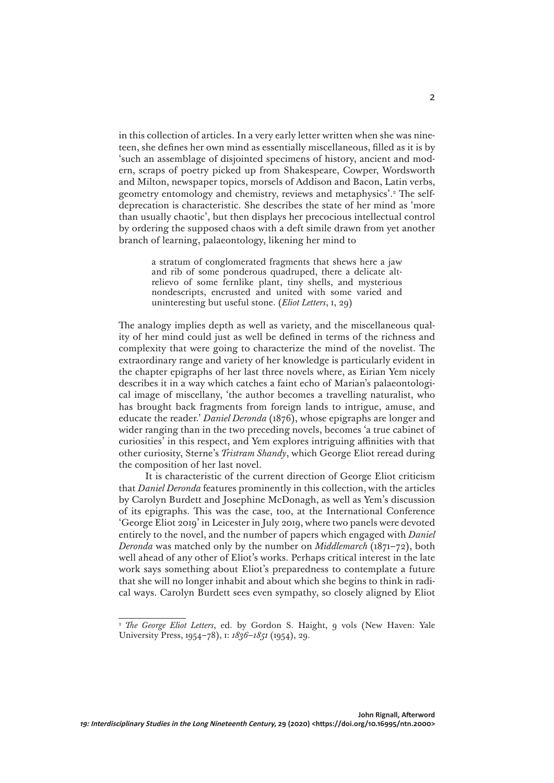in this collection of articles. In a very early letter written when she was nineteen, she defines her own mind as essentially miscellaneous, filled as it is by 'such an assemblage of disjointed specimens of history, ancient and modern, scraps of poetry picked up from Shakespeare, Cowper, Wordsworth and Milton, newspaper topics, morsels of Addison and Bacon, Latin verbs, geometry entomology and chemistry, reviews and metaphysics'.<sup>2</sup> The selfdeprecation is characteristic. She describes the state of her mind as 'more than usually chaotic', but then displays her precocious intellectual control by ordering the supposed chaos with a deft simile drawn from yet another branch of learning, palaeontology, likening her mind to

> a stratum of conglomerated fragments that shews here a jaw and rib of some ponderous quadruped, there a delicate altrelievo of some fernlike plant, tiny shells, and mysterious nondescripts, encrusted and united with some varied and uninteresting but useful stone. (*Eliot Letters*, i, 29)

The analogy implies depth as well as variety, and the miscellaneous quality of her mind could just as well be defined in terms of the richness and complexity that were going to characterize the mind of the novelist. The extraordinary range and variety of her knowledge is particularly evident in the chapter epigraphs of her last three novels where, as Eirian Yem nicely describes it in a way which catches a faint echo of Marian's palaeontological image of miscellany, 'the author becomes a travelling naturalist, who has brought back fragments from foreign lands to intrigue, amuse, and educate the reader.' *Daniel Deronda* (1876), whose epigraphs are longer and wider ranging than in the two preceding novels, becomes 'a true cabinet of curiosities' in this respect, and Yem explores intriguing affinities with that other curiosity, Sterne's *Tristram Shandy*, which George Eliot reread during the composition of her last novel.

It is characteristic of the current direction of George Eliot criticism that *Daniel Deronda* features prominently in this collection, with the articles by Carolyn Burdett and Josephine McDonagh, as well as Yem's discussion of its epigraphs. This was the case, too, at the International Conference 'George Eliot 2019' in Leicester in July 2019, where two panels were devoted entirely to the novel, and the number of papers which engaged with *Daniel Deronda* was matched only by the number on *Middlemarch* (1871–72), both well ahead of any other of Eliot's works. Perhaps critical interest in the late work says something about Eliot's preparedness to contemplate a future that she will no longer inhabit and about which she begins to think in radical ways. Carolyn Burdett sees even sympathy, so closely aligned by Eliot

<sup>&</sup>lt;sup>2</sup> *The George Eliot Letters*, ed. by Gordon S. Haight, 9 vols (New Haven: Yale University Press, 1954–78), i: *1836–1851* (1954), 29.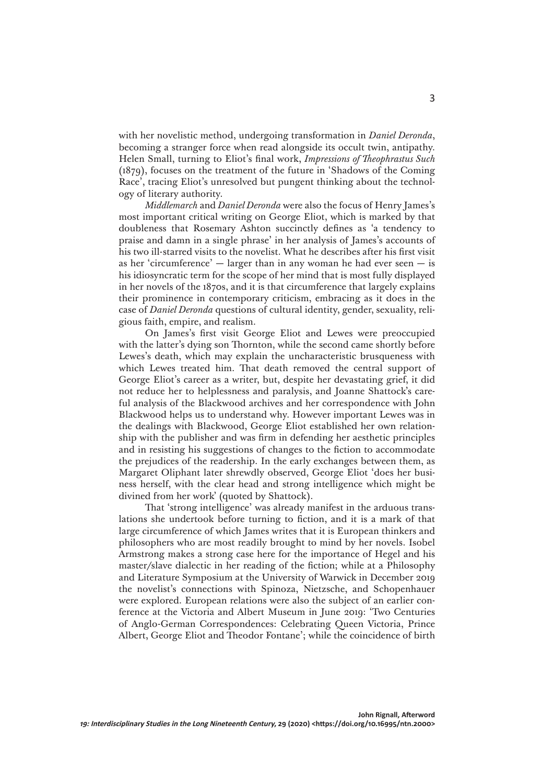with her novelistic method, undergoing transformation in *Daniel Deronda*, becoming a stranger force when read alongside its occult twin, antipathy. Helen Small, turning to Eliot's final work, *Impressions of Theophrastus Such*  (1879), focuses on the treatment of the future in 'Shadows of the Coming Race', tracing Eliot's unresolved but pungent thinking about the technology of literary authority.

*Middlemarch* and *Daniel Deronda* were also the focus of Henry James's most important critical writing on George Eliot, which is marked by that doubleness that Rosemary Ashton succinctly defines as 'a tendency to praise and damn in a single phrase' in her analysis of James's accounts of his two ill-starred visits to the novelist. What he describes after his first visit as her 'circumference' — larger than in any woman he had ever seen — is his idiosyncratic term for the scope of her mind that is most fully displayed in her novels of the 1870s, and it is that circumference that largely explains their prominence in contemporary criticism, embracing as it does in the case of *Daniel Deronda* questions of cultural identity, gender, sexuality, religious faith, empire, and realism.

On James's first visit George Eliot and Lewes were preoccupied with the latter's dying son Thornton, while the second came shortly before Lewes's death, which may explain the uncharacteristic brusqueness with which Lewes treated him. That death removed the central support of George Eliot's career as a writer, but, despite her devastating grief, it did not reduce her to helplessness and paralysis, and Joanne Shattock's careful analysis of the Blackwood archives and her correspondence with John Blackwood helps us to understand why. However important Lewes was in the dealings with Blackwood, George Eliot established her own relationship with the publisher and was firm in defending her aesthetic principles and in resisting his suggestions of changes to the fiction to accommodate the prejudices of the readership. In the early exchanges between them, as Margaret Oliphant later shrewdly observed, George Eliot 'does her business herself, with the clear head and strong intelligence which might be divined from her work' (quoted by Shattock).

That 'strong intelligence' was already manifest in the arduous translations she undertook before turning to fiction, and it is a mark of that large circumference of which James writes that it is European thinkers and philosophers who are most readily brought to mind by her novels. Isobel Armstrong makes a strong case here for the importance of Hegel and his master/slave dialectic in her reading of the fiction; while at a Philosophy and Literature Symposium at the University of Warwick in December 2019 the novelist's connections with Spinoza, Nietzsche, and Schopenhauer were explored. European relations were also the subject of an earlier conference at the Victoria and Albert Museum in June 2019: 'Two Centuries of Anglo-German Correspondences: Celebrating Queen Victoria, Prince Albert, George Eliot and Theodor Fontane'; while the coincidence of birth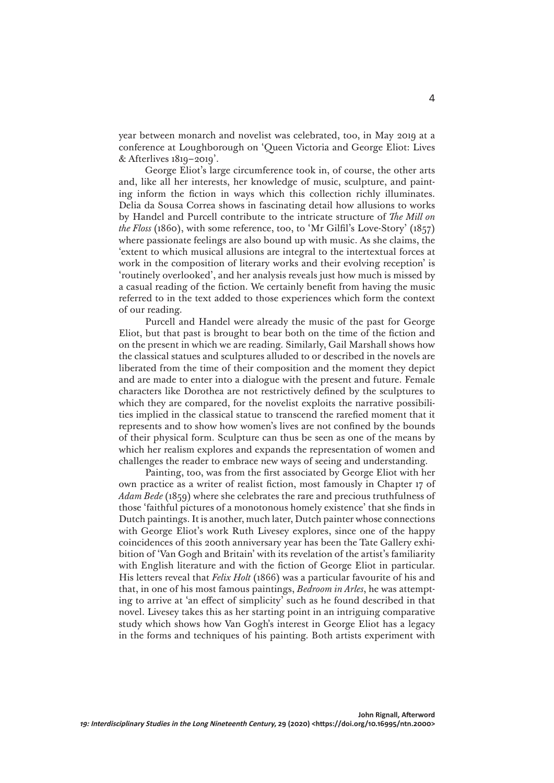year between monarch and novelist was celebrated, too, in May 2019 at a conference at Loughborough on 'Queen Victoria and George Eliot: Lives & Afterlives 1819–2019'.

George Eliot's large circumference took in, of course, the other arts and, like all her interests, her knowledge of music, sculpture, and painting inform the fiction in ways which this collection richly illuminates. Delia da Sousa Correa shows in fascinating detail how allusions to works by Handel and Purcell contribute to the intricate structure of *The Mill on the Floss* (1860), with some reference, too, to 'Mr Gilfil's Love-Story' (1857) where passionate feelings are also bound up with music. As she claims, the 'extent to which musical allusions are integral to the intertextual forces at work in the composition of literary works and their evolving reception' is 'routinely overlooked', and her analysis reveals just how much is missed by a casual reading of the fiction. We certainly benefit from having the music referred to in the text added to those experiences which form the context of our reading.

Purcell and Handel were already the music of the past for George Eliot, but that past is brought to bear both on the time of the fiction and on the present in which we are reading. Similarly, Gail Marshall shows how the classical statues and sculptures alluded to or described in the novels are liberated from the time of their composition and the moment they depict and are made to enter into a dialogue with the present and future. Female characters like Dorothea are not restrictively defined by the sculptures to which they are compared, for the novelist exploits the narrative possibilities implied in the classical statue to transcend the rarefied moment that it represents and to show how women's lives are not confined by the bounds of their physical form. Sculpture can thus be seen as one of the means by which her realism explores and expands the representation of women and challenges the reader to embrace new ways of seeing and understanding.

Painting, too, was from the first associated by George Eliot with her own practice as a writer of realist fiction, most famously in Chapter 17 of *Adam Bede* (1859) where she celebrates the rare and precious truthfulness of those 'faithful pictures of a monotonous homely existence' that she finds in Dutch paintings. It is another, much later, Dutch painter whose connections with George Eliot's work Ruth Livesey explores, since one of the happy coincidences of this 200th anniversary year has been the Tate Gallery exhibition of 'Van Gogh and Britain' with its revelation of the artist's familiarity with English literature and with the fiction of George Eliot in particular. His letters reveal that *Felix Holt* (1866) was a particular favourite of his and that, in one of his most famous paintings, *Bedroom in Arles*, he was attempting to arrive at 'an effect of simplicity' such as he found described in that novel. Livesey takes this as her starting point in an intriguing comparative study which shows how Van Gogh's interest in George Eliot has a legacy in the forms and techniques of his painting. Both artists experiment with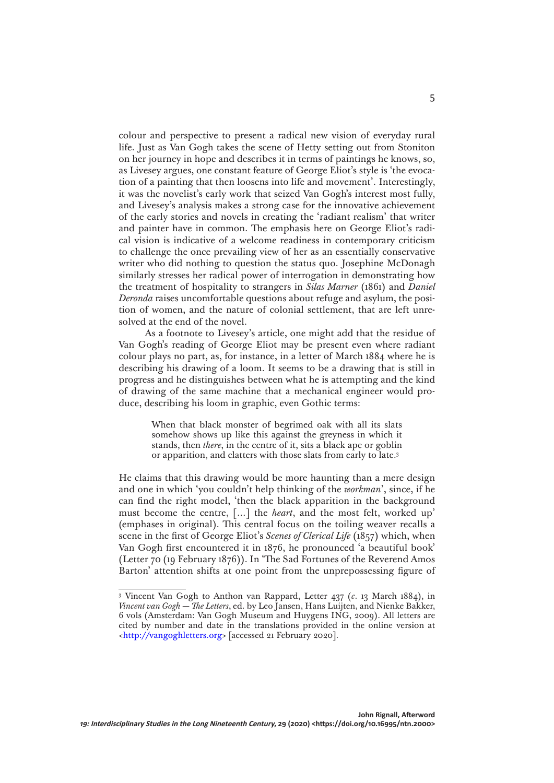colour and perspective to present a radical new vision of everyday rural life. Just as Van Gogh takes the scene of Hetty setting out from Stoniton on her journey in hope and describes it in terms of paintings he knows, so, as Livesey argues, one constant feature of George Eliot's style is 'the evocation of a painting that then loosens into life and movement'. Interestingly, it was the novelist's early work that seized Van Gogh's interest most fully, and Livesey's analysis makes a strong case for the innovative achievement of the early stories and novels in creating the 'radiant realism' that writer and painter have in common. The emphasis here on George Eliot's radical vision is indicative of a welcome readiness in contemporary criticism to challenge the once prevailing view of her as an essentially conservative writer who did nothing to question the status quo. Josephine McDonagh similarly stresses her radical power of interrogation in demonstrating how the treatment of hospitality to strangers in *Silas Marner* (1861) and *Daniel Deronda* raises uncomfortable questions about refuge and asylum, the position of women, and the nature of colonial settlement, that are left unresolved at the end of the novel.

As a footnote to Livesey's article, one might add that the residue of Van Gogh's reading of George Eliot may be present even where radiant colour plays no part, as, for instance, in a letter of March 1884 where he is describing his drawing of a loom. It seems to be a drawing that is still in progress and he distinguishes between what he is attempting and the kind of drawing of the same machine that a mechanical engineer would produce, describing his loom in graphic, even Gothic terms:

> When that black monster of begrimed oak with all its slats somehow shows up like this against the greyness in which it stands, then *there*, in the centre of it, sits a black ape or goblin or apparition, and clatters with those slats from early to late.3

He claims that this drawing would be more haunting than a mere design and one in which 'you couldn't help thinking of the *workman*', since, if he can find the right model, 'then the black apparition in the background must become the centre, […] the *heart*, and the most felt, worked up' (emphases in original). This central focus on the toiling weaver recalls a scene in the first of George Eliot's *Scenes of Clerical Life* (1857) which, when Van Gogh first encountered it in 1876, he pronounced 'a beautiful book' (Letter 70 (19 February 1876)). In 'The Sad Fortunes of the Reverend Amos Barton' attention shifts at one point from the unprepossessing figure of

<sup>3</sup> Vincent Van Gogh to Anthon van Rappard, Letter 437 (*c*. 13 March 1884), in *Vincent van Gogh — The Letters*, ed. by Leo Jansen, Hans Luijten, and Nienke Bakker, 6 vols (Amsterdam: Van Gogh Museum and Huygens ING, 2009). All letters are cited by number and date in the translations provided in the online version at [<http://vangoghletters.org>](http://vangoghletters.org) [accessed 21 February 2020].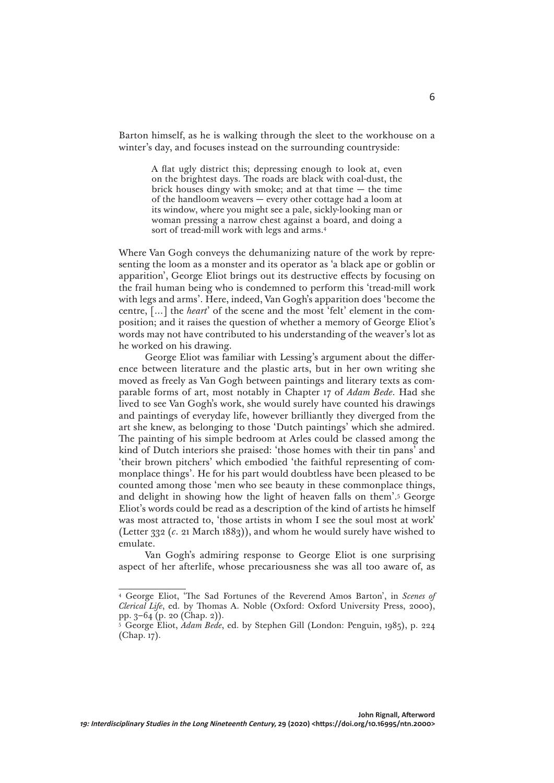Barton himself, as he is walking through the sleet to the workhouse on a winter's day, and focuses instead on the surrounding countryside:

> A flat ugly district this; depressing enough to look at, even on the brightest days. The roads are black with coal-dust, the brick houses dingy with smoke; and at that time  $-$  the time of the handloom weavers — every other cottage had a loom at its window, where you might see a pale, sickly-looking man or woman pressing a narrow chest against a board, and doing a sort of tread-mill work with legs and arms.4

Where Van Gogh conveys the dehumanizing nature of the work by representing the loom as a monster and its operator as 'a black ape or goblin or apparition', George Eliot brings out its destructive effects by focusing on the frail human being who is condemned to perform this 'tread-mill work with legs and arms'. Here, indeed, Van Gogh's apparition does 'become the centre, […] the *heart*' of the scene and the most 'felt' element in the composition; and it raises the question of whether a memory of George Eliot's words may not have contributed to his understanding of the weaver's lot as he worked on his drawing.

George Eliot was familiar with Lessing's argument about the difference between literature and the plastic arts, but in her own writing she moved as freely as Van Gogh between paintings and literary texts as comparable forms of art, most notably in Chapter 17 of *Adam Bede*. Had she lived to see Van Gogh's work, she would surely have counted his drawings and paintings of everyday life, however brilliantly they diverged from the art she knew, as belonging to those 'Dutch paintings' which she admired. The painting of his simple bedroom at Arles could be classed among the kind of Dutch interiors she praised: 'those homes with their tin pans' and 'their brown pitchers' which embodied 'the faithful representing of commonplace things'. He for his part would doubtless have been pleased to be counted among those 'men who see beauty in these commonplace things, and delight in showing how the light of heaven falls on them'.5 George Eliot's words could be read as a description of the kind of artists he himself was most attracted to, 'those artists in whom I see the soul most at work' (Letter 332 (*c*. 21 March 1883)), and whom he would surely have wished to emulate.

Van Gogh's admiring response to George Eliot is one surprising aspect of her afterlife, whose precariousness she was all too aware of, as

<sup>4</sup> George Eliot, 'The Sad Fortunes of the Reverend Amos Barton', in *Scenes of Clerical Life*, ed. by Thomas A. Noble (Oxford: Oxford University Press, 2000), pp. 3–64 (p. 20 (Chap. 2)).

<sup>5</sup> George Eliot, *Adam Bede*, ed. by Stephen Gill (London: Penguin, 1985), p. 224 (Chap. 17).